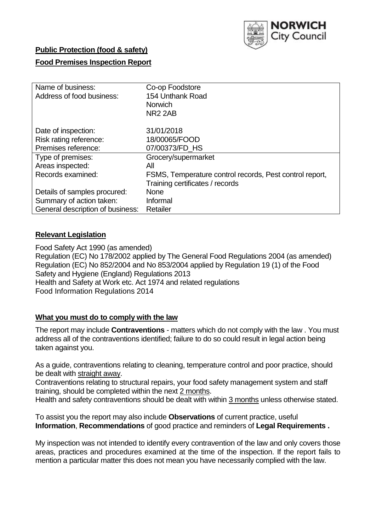

# **Public Protection (food & safety)**

# **Food Premises Inspection Report**

| Name of business:                | Co-op Foodstore                                         |
|----------------------------------|---------------------------------------------------------|
| Address of food business:        | 154 Unthank Road                                        |
|                                  | <b>Norwich</b>                                          |
|                                  | <b>NR2 2AB</b>                                          |
| Date of inspection:              | 31/01/2018                                              |
| Risk rating reference:           | 18/00065/FOOD                                           |
| Premises reference:              | 07/00373/FD HS                                          |
| Type of premises:                | Grocery/supermarket                                     |
| Areas inspected:                 | All                                                     |
| Records examined:                | FSMS, Temperature control records, Pest control report, |
|                                  | Training certificates / records                         |
| Details of samples procured:     | <b>None</b>                                             |
| Summary of action taken:         | Informal                                                |
| General description of business: | Retailer                                                |

# **Relevant Legislation**

Food Safety Act 1990 (as amended) Regulation (EC) No 178/2002 applied by The General Food Regulations 2004 (as amended) Regulation (EC) No 852/2004 and No 853/2004 applied by Regulation 19 (1) of the Food Safety and Hygiene (England) Regulations 2013 Health and Safety at Work etc. Act 1974 and related regulations Food Information Regulations 2014

## **What you must do to comply with the law**

The report may include **Contraventions** - matters which do not comply with the law . You must address all of the contraventions identified; failure to do so could result in legal action being taken against you.

As a guide, contraventions relating to cleaning, temperature control and poor practice, should be dealt with straight away.

Contraventions relating to structural repairs, your food safety management system and staff training, should be completed within the next 2 months.

Health and safety contraventions should be dealt with within 3 months unless otherwise stated.

To assist you the report may also include **Observations** of current practice, useful **Information**, **Recommendations** of good practice and reminders of **Legal Requirements .**

My inspection was not intended to identify every contravention of the law and only covers those areas, practices and procedures examined at the time of the inspection. If the report fails to mention a particular matter this does not mean you have necessarily complied with the law.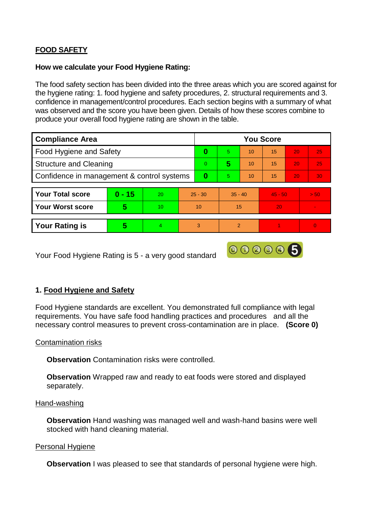# **FOOD SAFETY**

#### **How we calculate your Food Hygiene Rating:**

The food safety section has been divided into the three areas which you are scored against for the hygiene rating: 1. food hygiene and safety procedures, 2. structural requirements and 3. confidence in management/control procedures. Each section begins with a summary of what was observed and the score you have been given. Details of how these scores combine to produce your overall food hygiene rating are shown in the table.

| <b>Compliance Area</b>                     |          |    |           | <b>You Score</b> |                |    |           |                 |                |  |  |
|--------------------------------------------|----------|----|-----------|------------------|----------------|----|-----------|-----------------|----------------|--|--|
| Food Hygiene and Safety                    |          |    |           | 0                | 5.             | 10 | 15        | 20              | 25             |  |  |
| <b>Structure and Cleaning</b>              |          |    |           | $\Omega$         | 5              | 10 | 15        | 20              | 25             |  |  |
| Confidence in management & control systems |          |    | 0         | 5.               | 10             | 15 | 20        | 30 <sub>1</sub> |                |  |  |
|                                            |          |    |           |                  |                |    |           |                 |                |  |  |
| <b>Your Total score</b>                    | $0 - 15$ | 20 | $25 - 30$ |                  | $35 - 40$      |    | $45 - 50$ |                 | > 50           |  |  |
| <b>Your Worst score</b>                    | 5        | 10 | 10        |                  | 15             |    | 20        |                 | $\blacksquare$ |  |  |
|                                            |          |    |           |                  |                |    |           |                 |                |  |  |
| <b>Your Rating is</b>                      | 5        | 4  | 3         |                  | $\mathfrak{p}$ |    |           |                 | $\Omega$       |  |  |

000005

Your Food Hygiene Rating is 5 - a very good standard

# **1. Food Hygiene and Safety**

Food Hygiene standards are excellent. You demonstrated full compliance with legal requirements. You have safe food handling practices and procedures and all the necessary control measures to prevent cross-contamination are in place. **(Score 0)**

## Contamination risks

**Observation** Contamination risks were controlled.

**Observation** Wrapped raw and ready to eat foods were stored and displayed separately.

#### Hand-washing

**Observation** Hand washing was managed well and wash-hand basins were well stocked with hand cleaning material.

#### Personal Hygiene

**Observation** I was pleased to see that standards of personal hygiene were high.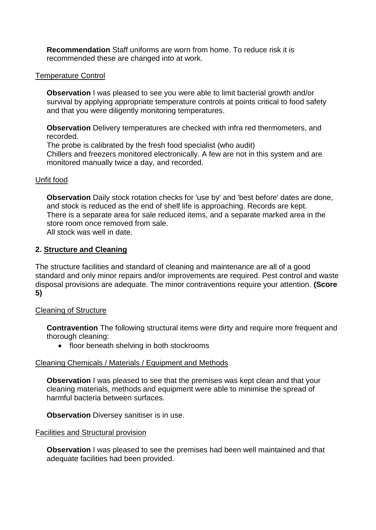**Recommendation** Staff uniforms are worn from home. To reduce risk it is recommended these are changed into at work.

## Temperature Control

**Observation** I was pleased to see you were able to limit bacterial growth and/or survival by applying appropriate temperature controls at points critical to food safety and that you were diligently monitoring temperatures.

**Observation** Delivery temperatures are checked with infra red thermometers, and recorded.

The probe is calibrated by the fresh food specialist (who audit)

Chillers and freezers monitored electronically. A few are not in this system and are monitored manually twice a day, and recorded.

## Unfit food

**Observation** Daily stock rotation checks for 'use by' and 'best before' dates are done, and stock is reduced as the end of shelf life is approaching. Records are kept. There is a separate area for sale reduced items, and a separate marked area in the store room once removed from sale. All stock was well in date.

#### **2. Structure and Cleaning**

The structure facilities and standard of cleaning and maintenance are all of a good standard and only minor repairs and/or improvements are required. Pest control and waste disposal provisions are adequate. The minor contraventions require your attention. **(Score 5)**

## Cleaning of Structure

**Contravention** The following structural items were dirty and require more frequent and thorough cleaning:

• floor beneath shelving in both stockrooms

## Cleaning Chemicals / Materials / Equipment and Methods

**Observation I** was pleased to see that the premises was kept clean and that your cleaning materials, methods and equipment were able to minimise the spread of harmful bacteria between surfaces.

**Observation** Diversey sanitiser is in use.

#### Facilities and Structural provision

**Observation** I was pleased to see the premises had been well maintained and that adequate facilities had been provided.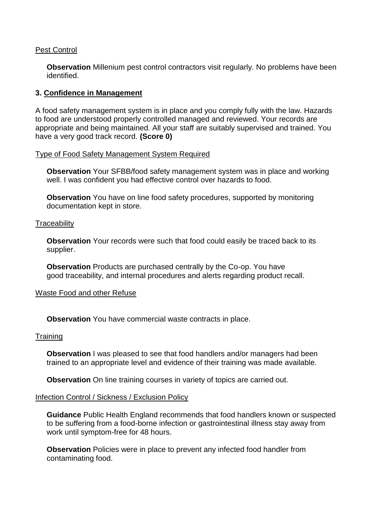## Pest Control

**Observation** Millenium pest control contractors visit regularly. No problems have been identified.

## **3. Confidence in Management**

A food safety management system is in place and you comply fully with the law. Hazards to food are understood properly controlled managed and reviewed. Your records are appropriate and being maintained. All your staff are suitably supervised and trained. You have a very good track record. **(Score 0)**

#### Type of Food Safety Management System Required

**Observation** Your SFBB/food safety management system was in place and working well. I was confident you had effective control over hazards to food.

**Observation** You have on line food safety procedures, supported by monitoring documentation kept in store.

#### **Traceability**

**Observation** Your records were such that food could easily be traced back to its supplier.

**Observation** Products are purchased centrally by the Co-op. You have good traceability, and internal procedures and alerts regarding product recall.

#### Waste Food and other Refuse

**Observation** You have commercial waste contracts in place.

#### **Training**

**Observation** I was pleased to see that food handlers and/or managers had been trained to an appropriate level and evidence of their training was made available.

**Observation** On line training courses in variety of topics are carried out.

#### Infection Control / Sickness / Exclusion Policy

**Guidance** Public Health England recommends that food handlers known or suspected to be suffering from a food-borne infection or gastrointestinal illness stay away from work until symptom-free for 48 hours.

**Observation** Policies were in place to prevent any infected food handler from contaminating food.